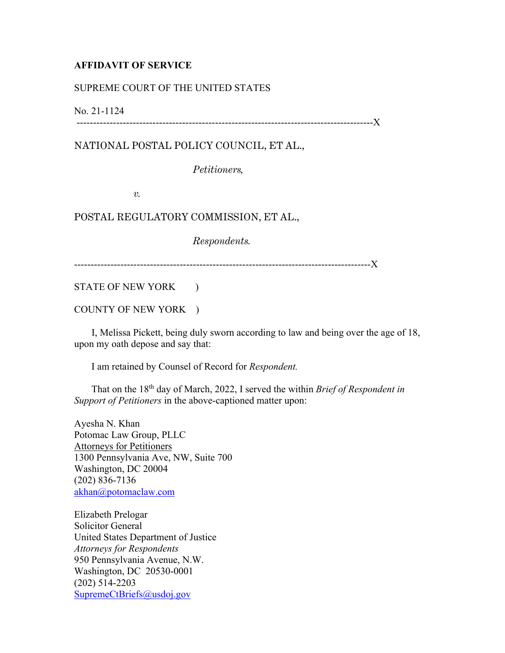## **AFFIDAVIT OF SERVICE**

## SUPREME COURT OF THE UNITED STATES

No. 21-1124

------------------------------------------------------------------------------------------X

NATIONAL POSTAL POLICY COUNCIL, ET AL.,

*Petitioners,* 

*v.* 

## POSTAL REGULATORY COMMISSION, ET AL.,

*Respondents.*

------------------------------------------------------------------------------------------X

STATE OF NEW YORK )

COUNTY OF NEW YORK )

 I, Melissa Pickett, being duly sworn according to law and being over the age of 18, upon my oath depose and say that:

I am retained by Counsel of Record for *Respondent.*

 That on the 18th day of March, 2022, I served the within *Brief of Respondent in Support of Petitioners* in the above-captioned matter upon:

Ayesha N. Khan Potomac Law Group, PLLC Attorneys for Petitioners 1300 Pennsylvania Ave, NW, Suite 700 Washington, DC 20004 (202) 836-7136 akhan@potomaclaw.com

Elizabeth Prelogar Solicitor General United States Department of Justice *Attorneys for Respondents*  950 Pennsylvania Avenue, N.W. Washington, DC 20530-0001 (202) 514-2203 SupremeCtBriefs@usdoj.gov